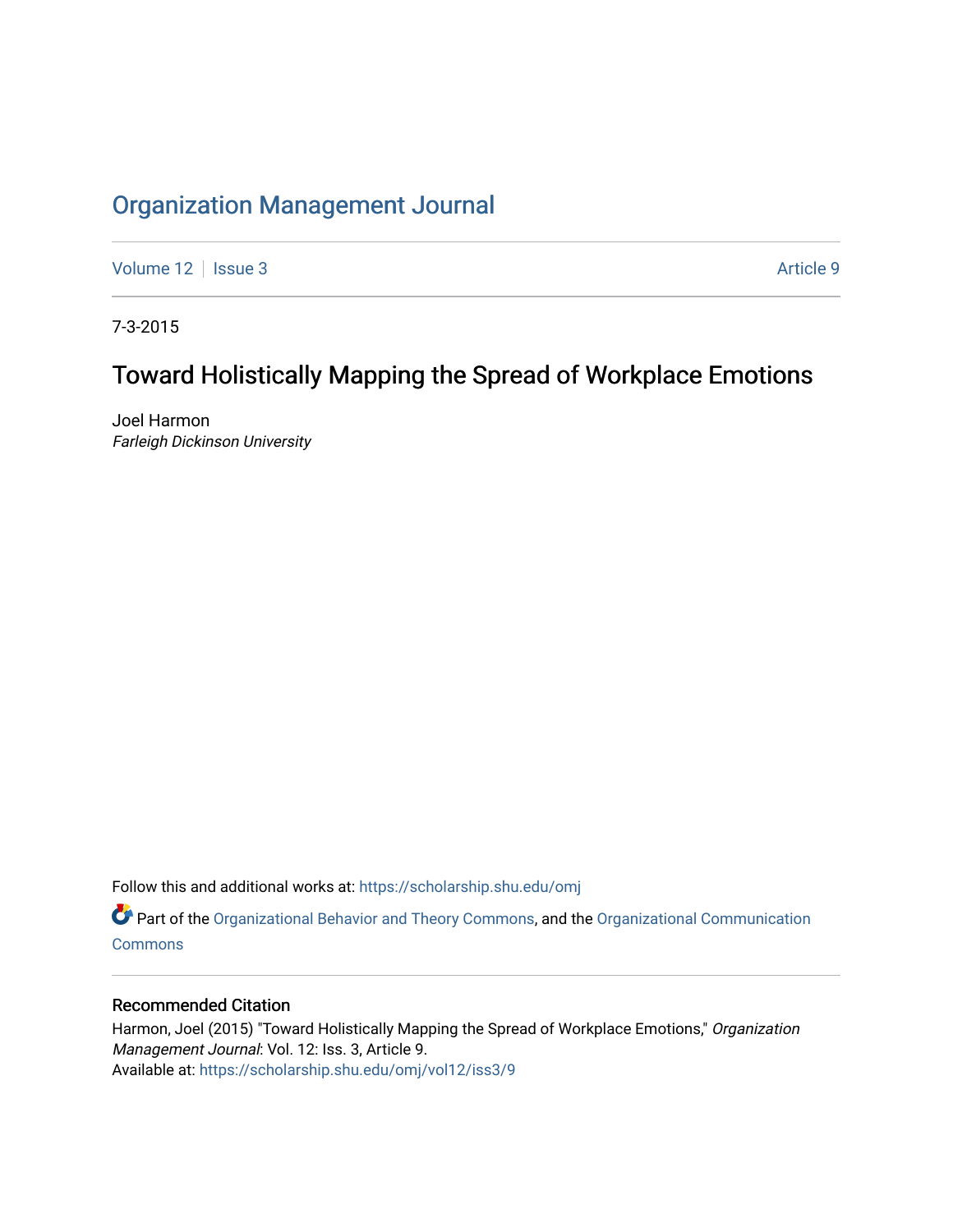# [Organization Management Journal](https://scholarship.shu.edu/omj)

[Volume 12](https://scholarship.shu.edu/omj/vol12) | [Issue 3](https://scholarship.shu.edu/omj/vol12/iss3) Article 9

7-3-2015

# Toward Holistically Mapping the Spread of Workplace Emotions

Joel Harmon Farleigh Dickinson University

Follow this and additional works at: [https://scholarship.shu.edu/omj](https://scholarship.shu.edu/omj?utm_source=scholarship.shu.edu%2Fomj%2Fvol12%2Fiss3%2F9&utm_medium=PDF&utm_campaign=PDFCoverPages) 

Part of the [Organizational Behavior and Theory Commons,](http://network.bepress.com/hgg/discipline/639?utm_source=scholarship.shu.edu%2Fomj%2Fvol12%2Fiss3%2F9&utm_medium=PDF&utm_campaign=PDFCoverPages) and the [Organizational Communication](http://network.bepress.com/hgg/discipline/335?utm_source=scholarship.shu.edu%2Fomj%2Fvol12%2Fiss3%2F9&utm_medium=PDF&utm_campaign=PDFCoverPages) **[Commons](http://network.bepress.com/hgg/discipline/335?utm_source=scholarship.shu.edu%2Fomj%2Fvol12%2Fiss3%2F9&utm_medium=PDF&utm_campaign=PDFCoverPages)** 

### Recommended Citation

Harmon, Joel (2015) "Toward Holistically Mapping the Spread of Workplace Emotions," Organization Management Journal: Vol. 12: Iss. 3, Article 9. Available at: [https://scholarship.shu.edu/omj/vol12/iss3/9](https://scholarship.shu.edu/omj/vol12/iss3/9?utm_source=scholarship.shu.edu%2Fomj%2Fvol12%2Fiss3%2F9&utm_medium=PDF&utm_campaign=PDFCoverPages)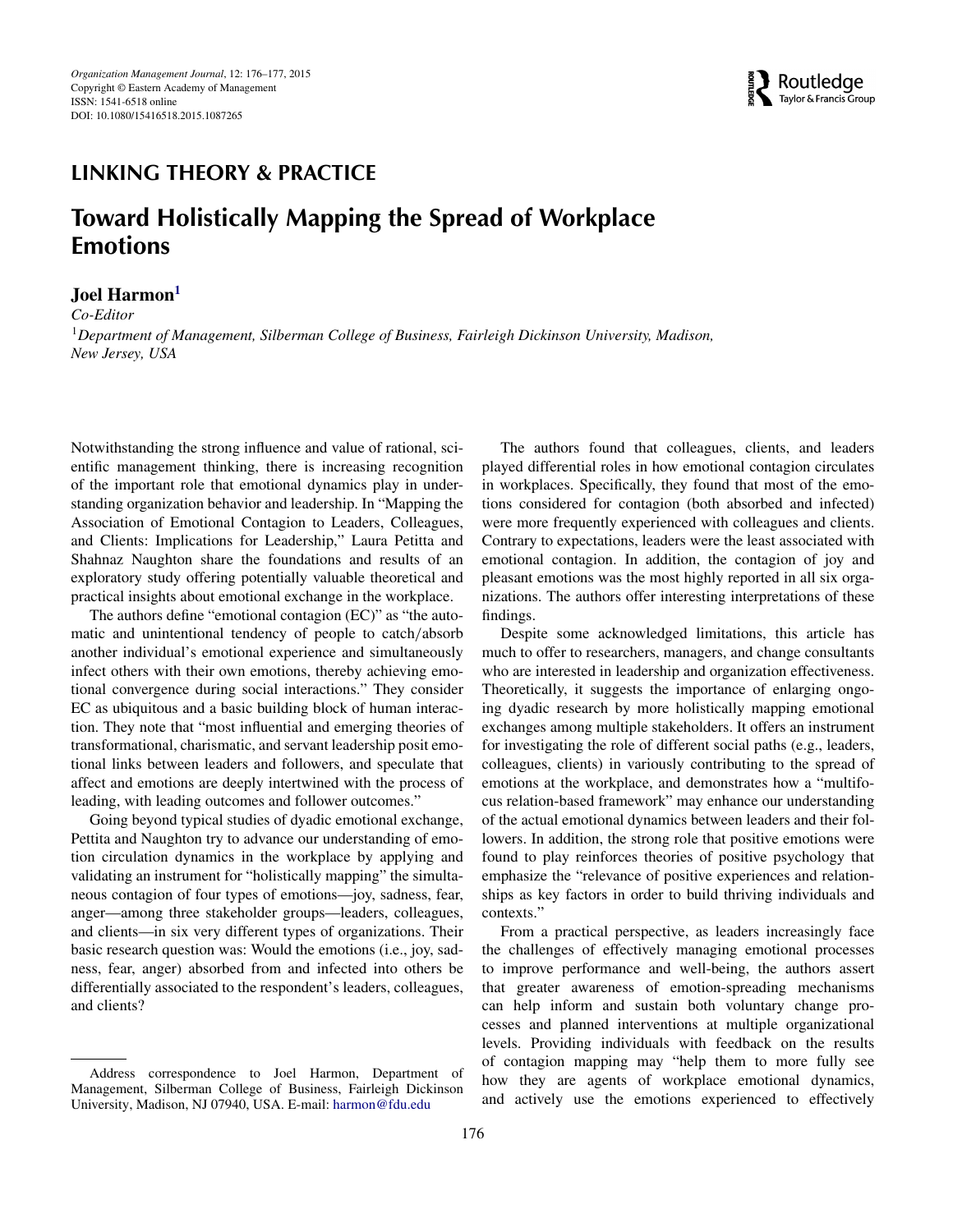### **LINKING THEORY & PRACTICE**

## **Toward Holistically Mapping the Spread of Workplace Emotions**

#### **Joel Harmo[n1](#page-1-0)**

<span id="page-1-0"></span>*Co-Editor*

<sup>1</sup>*Department of Management, Silberman College of Business, Fairleigh Dickinson University, Madison, New Jersey, USA*

Notwithstanding the strong influence and value of rational, scientific management thinking, there is increasing recognition of the important role that emotional dynamics play in understanding organization behavior and leadership. In "Mapping the Association of Emotional Contagion to Leaders, Colleagues, and Clients: Implications for Leadership," Laura Petitta and Shahnaz Naughton share the foundations and results of an exploratory study offering potentially valuable theoretical and practical insights about emotional exchange in the workplace.

The authors define "emotional contagion (EC)" as "the automatic and unintentional tendency of people to catch*/*absorb another individual's emotional experience and simultaneously infect others with their own emotions, thereby achieving emotional convergence during social interactions." They consider EC as ubiquitous and a basic building block of human interaction. They note that "most influential and emerging theories of transformational, charismatic, and servant leadership posit emotional links between leaders and followers, and speculate that affect and emotions are deeply intertwined with the process of leading, with leading outcomes and follower outcomes."

Going beyond typical studies of dyadic emotional exchange, Pettita and Naughton try to advance our understanding of emotion circulation dynamics in the workplace by applying and validating an instrument for "holistically mapping" the simultaneous contagion of four types of emotions—joy, sadness, fear, anger—among three stakeholder groups—leaders, colleagues, and clients—in six very different types of organizations. Their basic research question was: Would the emotions (i.e., joy, sadness, fear, anger) absorbed from and infected into others be differentially associated to the respondent's leaders, colleagues, and clients?

The authors found that colleagues, clients, and leaders played differential roles in how emotional contagion circulates in workplaces. Specifically, they found that most of the emotions considered for contagion (both absorbed and infected) were more frequently experienced with colleagues and clients. Contrary to expectations, leaders were the least associated with emotional contagion. In addition, the contagion of joy and pleasant emotions was the most highly reported in all six organizations. The authors offer interesting interpretations of these findings.

Despite some acknowledged limitations, this article has much to offer to researchers, managers, and change consultants who are interested in leadership and organization effectiveness. Theoretically, it suggests the importance of enlarging ongoing dyadic research by more holistically mapping emotional exchanges among multiple stakeholders. It offers an instrument for investigating the role of different social paths (e.g., leaders, colleagues, clients) in variously contributing to the spread of emotions at the workplace, and demonstrates how a "multifocus relation-based framework" may enhance our understanding of the actual emotional dynamics between leaders and their followers. In addition, the strong role that positive emotions were found to play reinforces theories of positive psychology that emphasize the "relevance of positive experiences and relationships as key factors in order to build thriving individuals and contexts."

From a practical perspective, as leaders increasingly face the challenges of effectively managing emotional processes to improve performance and well-being, the authors assert that greater awareness of emotion-spreading mechanisms can help inform and sustain both voluntary change processes and planned interventions at multiple organizational levels. Providing individuals with feedback on the results of contagion mapping may "help them to more fully see how they are agents of workplace emotional dynamics, and actively use the emotions experienced to effectively

Address correspondence to Joel Harmon, Department of Management, Silberman College of Business, Fairleigh Dickinson University, Madison, NJ 07940, USA. E-mail: harmon@fdu.edu